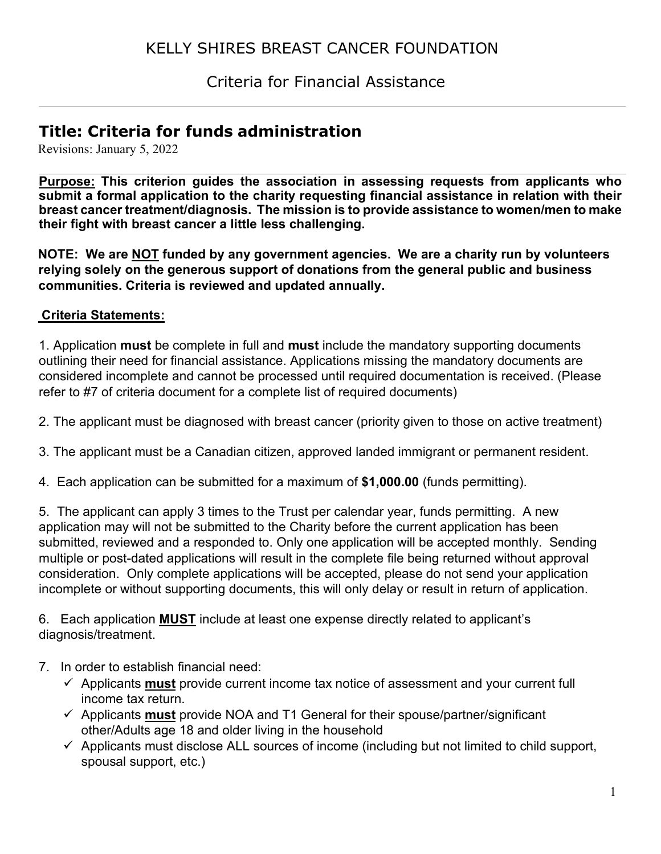# KELLY SHIRES BREAST CANCER FOUNDATION

Criteria for Financial Assistance

# **Title: Criteria for funds administration**

Revisions: January 5, 2022

**Purpose: This criterion guides the association in assessing requests from applicants who submit a formal application to the charity requesting financial assistance in relation with their breast cancer treatment/diagnosis. The mission is to provide assistance to women/men to make their fight with breast cancer a little less challenging.** 

**NOTE: We are NOT funded by any government agencies. We are a charity run by volunteers relying solely on the generous support of donations from the general public and business communities. Criteria is reviewed and updated annually.** 

#### **Criteria Statements:**

1. Application **must** be complete in full and **must** include the mandatory supporting documents outlining their need for financial assistance. Applications missing the mandatory documents are considered incomplete and cannot be processed until required documentation is received. (Please refer to #7 of criteria document for a complete list of required documents)

2. The applicant must be diagnosed with breast cancer (priority given to those on active treatment)

- 3. The applicant must be a Canadian citizen, approved landed immigrant or permanent resident.
- 4. Each application can be submitted for a maximum of **\$1,000.00** (funds permitting).

5. The applicant can apply 3 times to the Trust per calendar year, funds permitting. A new application may will not be submitted to the Charity before the current application has been submitted, reviewed and a responded to. Only one application will be accepted monthly. Sending multiple or post-dated applications will result in the complete file being returned without approval consideration. Only complete applications will be accepted, please do not send your application incomplete or without supporting documents, this will only delay or result in return of application.

6. Each application **MUST** include at least one expense directly related to applicant's diagnosis/treatment.

- 7. In order to establish financial need:
	- $\checkmark$  Applicants **must** provide current income tax notice of assessment and your current full income tax return.
	- $\checkmark$  Applicants **must** provide NOA and T1 General for their spouse/partner/significant other/Adults age 18 and older living in the household
	- $\checkmark$  Applicants must disclose ALL sources of income (including but not limited to child support, spousal support, etc.)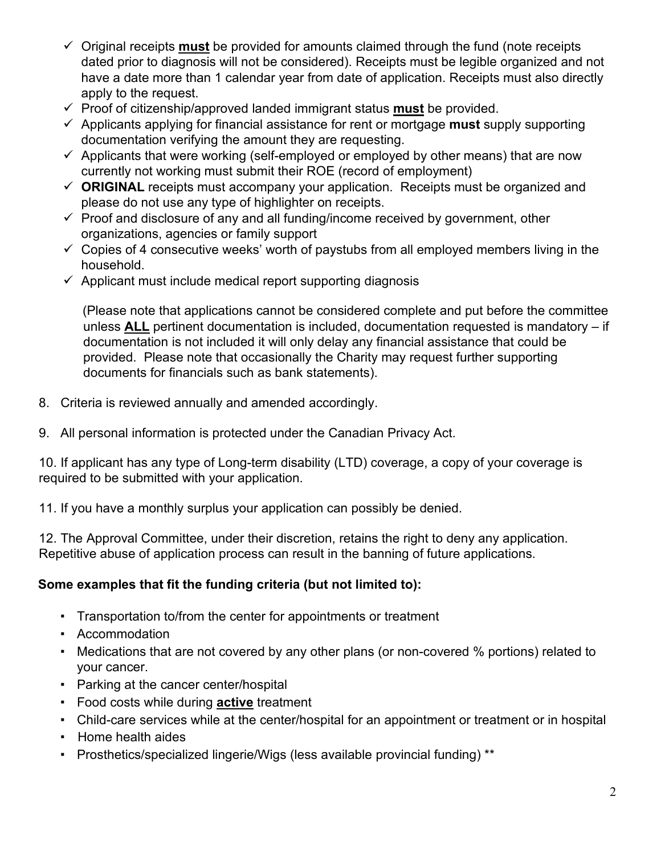- Original receipts **must** be provided for amounts claimed through the fund (note receipts dated prior to diagnosis will not be considered). Receipts must be legible organized and not have a date more than 1 calendar year from date of application. Receipts must also directly apply to the request.
- $\checkmark$  Proof of citizenship/approved landed immigrant status **must** be provided.
- $\checkmark$  Applicants applying for financial assistance for rent or mortgage **must** supply supporting documentation verifying the amount they are requesting.
- $\checkmark$  Applicants that were working (self-employed or employed by other means) that are now currently not working must submit their ROE (record of employment)
- **ORIGINAL** receipts must accompany your application. Receipts must be organized and please do not use any type of highlighter on receipts.
- $\checkmark$  Proof and disclosure of any and all funding/income received by government, other organizations, agencies or family support
- $\checkmark$  Copies of 4 consecutive weeks' worth of paystubs from all employed members living in the household.
- $\checkmark$  Applicant must include medical report supporting diagnosis

(Please note that applications cannot be considered complete and put before the committee unless **ALL** pertinent documentation is included, documentation requested is mandatory – if documentation is not included it will only delay any financial assistance that could be provided. Please note that occasionally the Charity may request further supporting documents for financials such as bank statements).

- 8. Criteria is reviewed annually and amended accordingly.
- 9. All personal information is protected under the Canadian Privacy Act.

10. If applicant has any type of Long-term disability (LTD) coverage, a copy of your coverage is required to be submitted with your application.

11. If you have a monthly surplus your application can possibly be denied.

12. The Approval Committee, under their discretion, retains the right to deny any application. Repetitive abuse of application process can result in the banning of future applications.

### **Some examples that fit the funding criteria (but not limited to):**

- Transportation to/from the center for appointments or treatment
- Accommodation
- Medications that are not covered by any other plans (or non-covered % portions) related to your cancer.
- Parking at the cancer center/hospital
- Food costs while during **active** treatment
- Child-care services while at the center/hospital for an appointment or treatment or in hospital
- Home health aides
- Prosthetics/specialized lingerie/Wigs (less available provincial funding) \*\*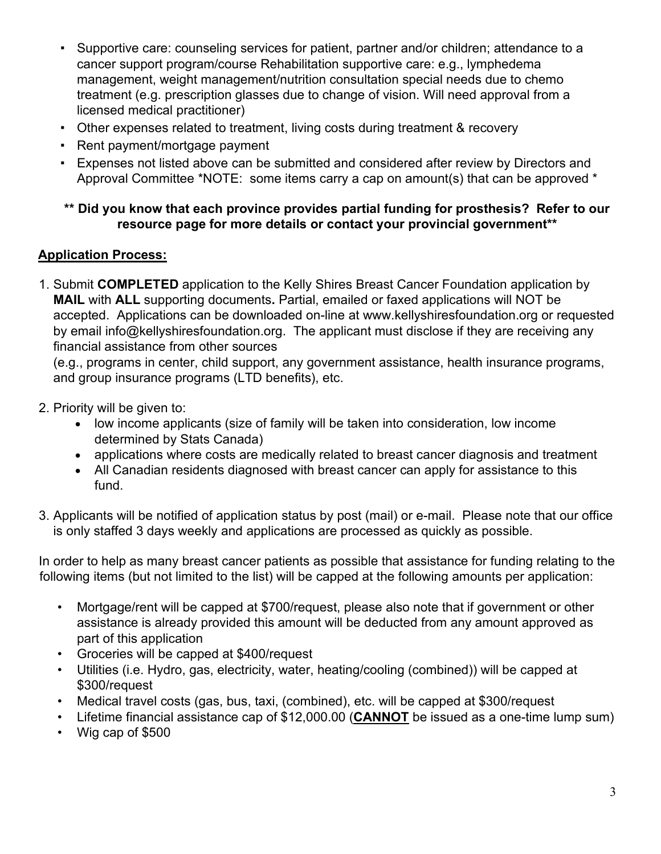- Supportive care: counseling services for patient, partner and/or children; attendance to a cancer support program/course Rehabilitation supportive care: e.g., lymphedema management, weight management/nutrition consultation special needs due to chemo treatment (e.g. prescription glasses due to change of vision. Will need approval from a licensed medical practitioner)
- Other expenses related to treatment, living costs during treatment & recovery
- Rent payment/mortgage payment
- Expenses not listed above can be submitted and considered after review by Directors and Approval Committee \*NOTE: some items carry a cap on amount(s) that can be approved \*

### **\*\* Did you know that each province provides partial funding for prosthesis? Refer to our resource page for more details or contact your provincial government\*\***

## **Application Process:**

1. Submit **COMPLETED** application to the Kelly Shires Breast Cancer Foundation application by **MAIL** with **ALL** supporting documents**.** Partial, emailed or faxed applications will NOT be accepted. Applications can be downloaded on-line at [www.kellyshiresfoundation.org](http://www.kellyshiresfoundation.org/) or requested by email info@kellyshiresfoundation.org. The applicant must disclose if they are receiving any financial assistance from other sources

(e.g., programs in center, child support, any government assistance, health insurance programs, and group insurance programs (LTD benefits), etc.

- 2. Priority will be given to:
	- low income applicants (size of family will be taken into consideration, low income determined by Stats Canada)
	- applications where costs are medically related to breast cancer diagnosis and treatment
	- All Canadian residents diagnosed with breast cancer can apply for assistance to this fund.
- 3. Applicants will be notified of application status by post (mail) or e-mail. Please note that our office is only staffed 3 days weekly and applications are processed as quickly as possible.

In order to help as many breast cancer patients as possible that assistance for funding relating to the following items (but not limited to the list) will be capped at the following amounts per application:

- Mortgage/rent will be capped at \$700/request, please also note that if government or other assistance is already provided this amount will be deducted from any amount approved as part of this application
- Groceries will be capped at \$400/request
- Utilities (i.e. Hydro, gas, electricity, water, heating/cooling (combined)) will be capped at \$300/request
- Medical travel costs (gas, bus, taxi, (combined), etc. will be capped at \$300/request
- Lifetime financial assistance cap of \$12,000.00 (**CANNOT** be issued as a one-time lump sum)
- Wig cap of \$500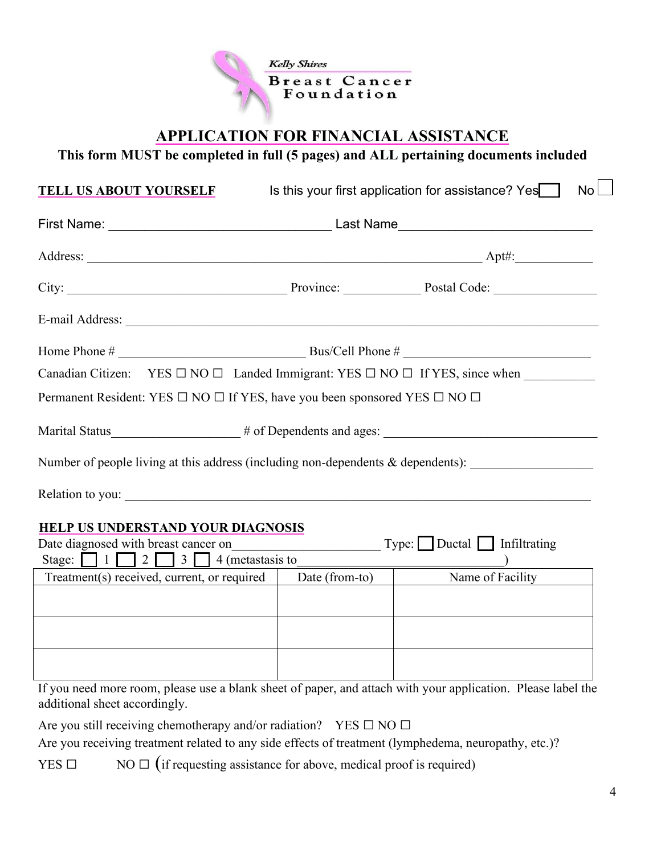

## **APPLICATION FOR FINANCIAL ASSISTANCE**

**This form MUST be completed in full (5 pages) and ALL pertaining documents included** 

| <b>TELL US ABOUT YOURSELF</b>                                                                                                                                                                                                  |                | Is this your first application for assistance? Yes<br>No <sub>l</sub>             |
|--------------------------------------------------------------------------------------------------------------------------------------------------------------------------------------------------------------------------------|----------------|-----------------------------------------------------------------------------------|
|                                                                                                                                                                                                                                |                |                                                                                   |
|                                                                                                                                                                                                                                |                |                                                                                   |
|                                                                                                                                                                                                                                |                |                                                                                   |
| E-mail Address: No. 1998. The Second Second Second Second Second Second Second Second Second Second Second Second Second Second Second Second Second Second Second Second Second Second Second Second Second Second Second Sec |                |                                                                                   |
|                                                                                                                                                                                                                                |                |                                                                                   |
|                                                                                                                                                                                                                                |                | Canadian Citizen: YES □ NO □ Landed Immigrant: YES □ NO □ If YES, since when      |
| Permanent Resident: YES □ NO □ If YES, have you been sponsored YES □ NO □                                                                                                                                                      |                |                                                                                   |
|                                                                                                                                                                                                                                |                | Marital Status____________________# of Dependents and ages: _____________________ |
|                                                                                                                                                                                                                                |                | Number of people living at this address (including non-dependents & dependents):  |
| Relation to you:                                                                                                                                                                                                               |                |                                                                                   |
| HELP US UNDERSTAND YOUR DIAGNOSIS<br>Date diagnosed with breast cancer on                                                                                                                                                      |                | $Type:$ Ductal Infiltrating                                                       |
| Stage: $\Box$ 1 $\Box$ 2 $\Box$ 3 $\Box$ 4 (metastasis to                                                                                                                                                                      |                |                                                                                   |
| Treatment(s) received, current, or required                                                                                                                                                                                    | Date (from-to) | Name of Facility                                                                  |
|                                                                                                                                                                                                                                |                |                                                                                   |
|                                                                                                                                                                                                                                |                |                                                                                   |
|                                                                                                                                                                                                                                |                |                                                                                   |

If you need more room, please use a blank sheet of paper, and attach with your application. Please label the additional sheet accordingly.

Are you still receiving chemotherapy and/or radiation? YES  $\Box$  NO  $\Box$ 

Are you receiving treatment related to any side effects of treatment (lymphedema, neuropathy, etc.)?

YES  $\Box$  NO  $\Box$  (if requesting assistance for above, medical proof is required)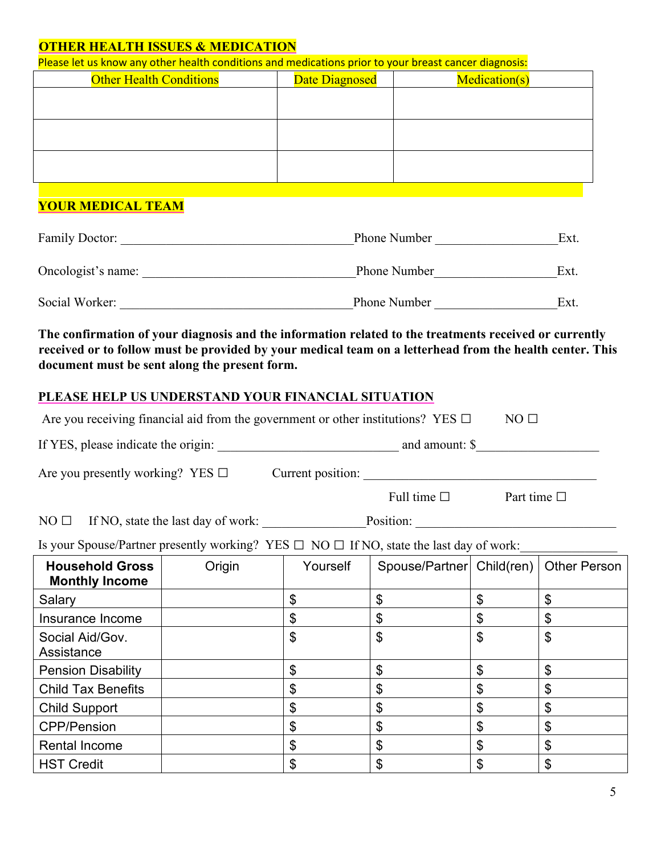#### **OTHER HEALTH ISSUES & MEDICATION**

| Please let us know any other health conditions and medications prior to your breast cancer diagnosis: |                |                      |  |  |  |
|-------------------------------------------------------------------------------------------------------|----------------|----------------------|--|--|--|
| <b>Other Health Conditions</b>                                                                        | Date Diagnosed | <b>Medication(s)</b> |  |  |  |
|                                                                                                       |                |                      |  |  |  |
|                                                                                                       |                |                      |  |  |  |
|                                                                                                       |                |                      |  |  |  |
|                                                                                                       |                |                      |  |  |  |
|                                                                                                       |                |                      |  |  |  |
|                                                                                                       |                |                      |  |  |  |
|                                                                                                       |                |                      |  |  |  |

## **YOUR MEDICAL TEAM**

| <b>Family Doctor:</b> | <b>Phone Number</b> | Ext. |
|-----------------------|---------------------|------|
| Oncologist's name:    | <b>Phone Number</b> | Ext. |
| Social Worker:        | <b>Phone Number</b> | Ext. |

**The confirmation of your diagnosis and the information related to the treatments received or currently received or to follow must be provided by your medical team on a letterhead from the health center. This document must be sent along the present form.** 

#### **PLEASE HELP US UNDERSTAND YOUR FINANCIAL SITUATION**

| Are you receiving financial aid from the government or other institutions? YES $\Box$<br>NO <sub>1</sub> |  |                   |                                         |    |                     |
|----------------------------------------------------------------------------------------------------------|--|-------------------|-----------------------------------------|----|---------------------|
|                                                                                                          |  |                   |                                         |    |                     |
|                                                                                                          |  |                   |                                         |    |                     |
|                                                                                                          |  |                   | Full time $\square$ Part time $\square$ |    |                     |
| $NO \Box$ If NO, state the last day of work: $\Box$ Position: $\Box$                                     |  |                   |                                         |    |                     |
| Is your Spouse/Partner presently working? YES $\Box$ NO $\Box$ If NO, state the last day of work:        |  |                   |                                         |    |                     |
| <b>Household Gross</b><br><b>Monthly Income</b>                                                          |  | Origin   Yourself | Spouse/Partner   Child(ren)             |    | <b>Other Person</b> |
| Salary                                                                                                   |  | \$                | $\boldsymbol{\mathsf{S}}$               | \$ | \$                  |
| Insurance Income                                                                                         |  | \$                | \$                                      | \$ | \$                  |
| Social Aid/Gov.<br>Assistance                                                                            |  | \$                | \$                                      | \$ | \$                  |
| <b>Pension Disability</b>                                                                                |  | \$                | $\boldsymbol{\mathsf{S}}$               | \$ | \$                  |
| <b>Child Tax Benefits</b>                                                                                |  | \$                | $\boldsymbol{\theta}$                   | \$ | \$                  |
| <b>Child Support</b>                                                                                     |  | \$                | \$                                      | \$ | \$                  |
| <b>CPP/Pension</b>                                                                                       |  | \$                | \$                                      | \$ | \$                  |
| <b>Rental Income</b>                                                                                     |  | \$                | \$                                      | \$ | \$                  |
| <b>HST Credit</b>                                                                                        |  | \$                | \$                                      | \$ | \$                  |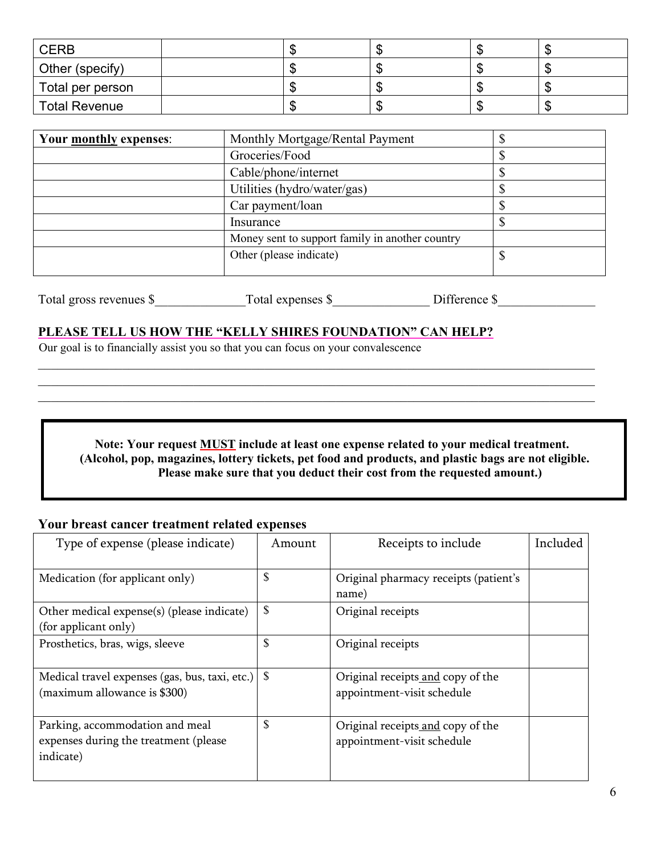| <b>CERB</b>          |  | w  |  |
|----------------------|--|----|--|
| Other (specify)      |  |    |  |
| Total per person     |  | м. |  |
| <b>Total Revenue</b> |  | w  |  |

| Your monthly expenses: | Monthly Mortgage/Rental Payment                 |  |
|------------------------|-------------------------------------------------|--|
|                        | Groceries/Food                                  |  |
|                        | Cable/phone/internet                            |  |
|                        | Utilities (hydro/water/gas)                     |  |
|                        | Car payment/loan                                |  |
|                        | Insurance                                       |  |
|                        | Money sent to support family in another country |  |
|                        | Other (please indicate)                         |  |
|                        |                                                 |  |

| Total gross revenues \$ | otal expenses S | Difference |  |
|-------------------------|-----------------|------------|--|
|                         |                 |            |  |

 $\mathcal{L}_\mathcal{L} = \{ \mathcal{L}_\mathcal{L} = \{ \mathcal{L}_\mathcal{L} = \{ \mathcal{L}_\mathcal{L} = \{ \mathcal{L}_\mathcal{L} = \{ \mathcal{L}_\mathcal{L} = \{ \mathcal{L}_\mathcal{L} = \{ \mathcal{L}_\mathcal{L} = \{ \mathcal{L}_\mathcal{L} = \{ \mathcal{L}_\mathcal{L} = \{ \mathcal{L}_\mathcal{L} = \{ \mathcal{L}_\mathcal{L} = \{ \mathcal{L}_\mathcal{L} = \{ \mathcal{L}_\mathcal{L} = \{ \mathcal{L}_\mathcal{$  $\mathcal{L}_\mathcal{L} = \{ \mathcal{L}_\mathcal{L} = \{ \mathcal{L}_\mathcal{L} = \{ \mathcal{L}_\mathcal{L} = \{ \mathcal{L}_\mathcal{L} = \{ \mathcal{L}_\mathcal{L} = \{ \mathcal{L}_\mathcal{L} = \{ \mathcal{L}_\mathcal{L} = \{ \mathcal{L}_\mathcal{L} = \{ \mathcal{L}_\mathcal{L} = \{ \mathcal{L}_\mathcal{L} = \{ \mathcal{L}_\mathcal{L} = \{ \mathcal{L}_\mathcal{L} = \{ \mathcal{L}_\mathcal{L} = \{ \mathcal{L}_\mathcal{$ 

#### **PLEASE TELL US HOW THE "KELLY SHIRES FOUNDATION" CAN HELP?**

Our goal is to financially assist you so that you can focus on your convalescence

**Note: Your request MUST include at least one expense related to your medical treatment. (Alcohol, pop, magazines, lottery tickets, pet food and products, and plastic bags are not eligible. Please make sure that you deduct their cost from the requested amount.)**

## **Your breast cancer treatment related expenses**

| Type of expense (please indicate)                                                     | Amount | Receipts to include                                             | Included |
|---------------------------------------------------------------------------------------|--------|-----------------------------------------------------------------|----------|
| Medication (for applicant only)                                                       | \$     | Original pharmacy receipts (patient's<br>name)                  |          |
| Other medical expense(s) (please indicate)<br>(for applicant only)                    | \$     | Original receipts                                               |          |
| Prosthetics, bras, wigs, sleeve                                                       | \$     | Original receipts                                               |          |
| Medical travel expenses (gas, bus, taxi, etc.)<br>(maximum allowance is \$300)        | S      | Original receipts and copy of the<br>appointment-visit schedule |          |
| Parking, accommodation and meal<br>expenses during the treatment (please<br>indicate) | \$     | Original receipts and copy of the<br>appointment-visit schedule |          |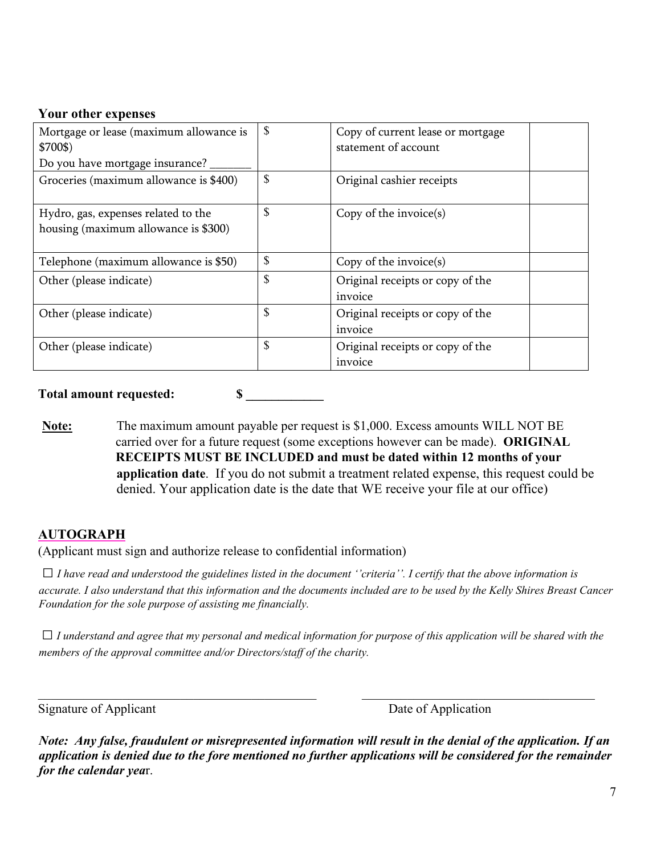#### **Your other expenses**

| Mortgage or lease (maximum allowance is<br>\$700\$)<br>Do you have mortgage insurance? | \$<br>Copy of current lease or mortgage<br>statement of account |  |
|----------------------------------------------------------------------------------------|-----------------------------------------------------------------|--|
| Groceries (maximum allowance is \$400)                                                 | \$<br>Original cashier receipts                                 |  |
| Hydro, gas, expenses related to the<br>housing (maximum allowance is \$300)            | \$<br>Copy of the invoice $(s)$                                 |  |
| Telephone (maximum allowance is \$50)                                                  | \$<br>Copy of the invoice $(s)$                                 |  |
| Other (please indicate)                                                                | \$<br>Original receipts or copy of the<br>invoice               |  |
| Other (please indicate)                                                                | \$<br>Original receipts or copy of the<br>invoice               |  |
| Other (please indicate)                                                                | \$<br>Original receipts or copy of the<br>invoice               |  |

**Total amount requested: \$ \_\_\_\_\_\_\_\_\_\_\_\_**

**Note:** The maximum amount payable per request is \$1,000. Excess amounts WILL NOT BE carried over for a future request (some exceptions however can be made). **ORIGINAL RECEIPTS MUST BE INCLUDED and must be dated within 12 months of your application date**.If you do not submit a treatment related expense, this request could be denied. Your application date is the date that WE receive your file at our office)

### **AUTOGRAPH**

(Applicant must sign and authorize release to confidential information)

 $\Box$  *I have read and understood the guidelines listed in the document ''criteria''. I certify that the above information is accurate. I also understand that this information and the documents included are to be used by the Kelly Shires Breast Cancer Foundation for the sole purpose of assisting me financially.* 

 $\Box$  *I* understand and agree that my personal and medical information for purpose of this application will be shared with the *members of the approval committee and/or Directors/staff of the charity.* 

 $\_$ 

Signature of Applicant Date of Application

*Note: Any false, fraudulent or misrepresented information will result in the denial of the application. If an application is denied due to the fore mentioned no further applications will be considered for the remainder for the calendar yea*r.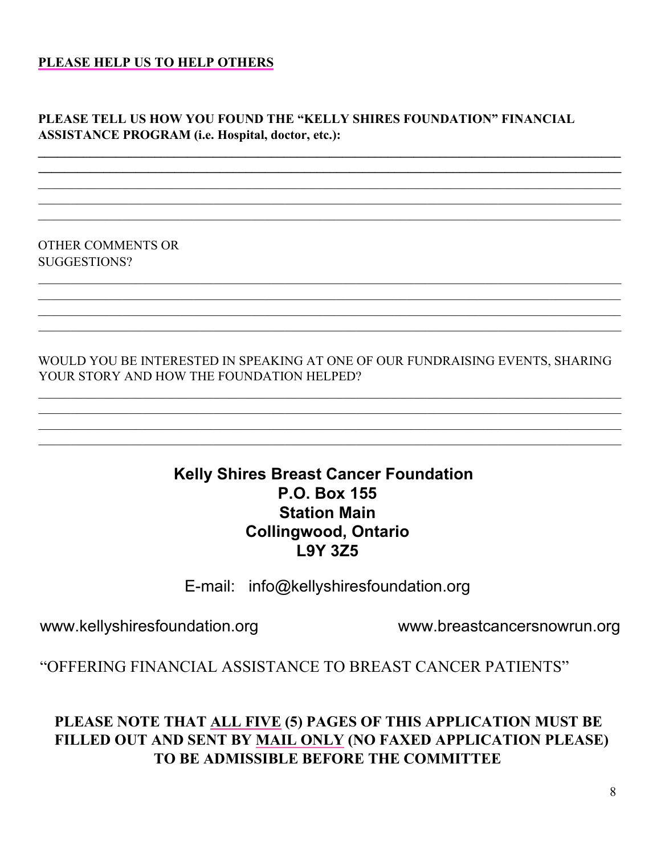### **PLEASE HELP US TO HELP OTHERS**

## **PLEASE TELL US HOW YOU FOUND THE "KELLY SHIRES FOUNDATION" FINANCIAL ASSISTANCE PROGRAM (i.e. Hospital, doctor, etc.):**

**\_\_\_\_\_\_\_\_\_\_\_\_\_\_\_\_\_\_\_\_\_\_\_\_\_\_\_\_\_\_\_\_\_\_\_\_\_\_\_\_\_\_\_\_\_\_\_\_\_\_\_\_\_\_\_\_\_\_\_\_\_\_\_\_\_\_\_\_\_\_\_\_\_\_\_\_\_\_\_\_\_\_\_\_\_\_\_\_\_\_ \_\_\_\_\_\_\_\_\_\_\_\_\_\_\_\_\_\_\_\_\_\_\_\_\_\_\_\_\_\_\_\_\_\_\_\_\_\_\_\_\_\_\_\_\_\_\_\_\_\_\_\_\_\_\_\_\_\_\_\_\_\_\_\_\_\_\_\_\_\_\_\_\_\_\_\_\_\_\_\_\_\_\_\_\_\_\_\_\_\_**

OTHER COMMENTS OR SUGGESTIONS?

WOULD YOU BE INTERESTED IN SPEAKING AT ONE OF OUR FUNDRAISING EVENTS, SHARING YOUR STORY AND HOW THE FOUNDATION HELPED?

 $\mathcal{L}_\mathcal{L}$  , and the set of the set of the set of the set of the set of the set of the set of the set of the set of the set of the set of the set of the set of the set of the set of the set of the set of the set of th  $\mathcal{L}_\mathcal{L}$  , and the set of the set of the set of the set of the set of the set of the set of the set of the set of the set of the set of the set of the set of the set of the set of the set of the set of the set of th  $\mathcal{L}_\mathcal{L}$  , and the set of the set of the set of the set of the set of the set of the set of the set of the set of the set of the set of the set of the set of the set of the set of the set of the set of the set of th  $\mathcal{L}_\mathcal{L}$  , and the set of the set of the set of the set of the set of the set of the set of the set of the set of the set of the set of the set of the set of the set of the set of the set of the set of the set of th

 $\mathcal{L}_\mathcal{L}$  , and the set of the set of the set of the set of the set of the set of the set of the set of the set of the set of the set of the set of the set of the set of the set of the set of the set of the set of th

## **Kelly Shires Breast Cancer Foundation P.O. Box 155 Station Main Collingwood, Ontario L9Y 3Z5**

E-mail: info@kellyshiresfoundation.org

www.kellyshiresfoundation.org www.breastcancersnowrun.org

"OFFERING FINANCIAL ASSISTANCE TO BREAST CANCER PATIENTS"

# **PLEASE NOTE THAT ALL FIVE (5) PAGES OF THIS APPLICATION MUST BE FILLED OUT AND SENT BY MAIL ONLY (NO FAXED APPLICATION PLEASE) TO BE ADMISSIBLE BEFORE THE COMMITTEE**